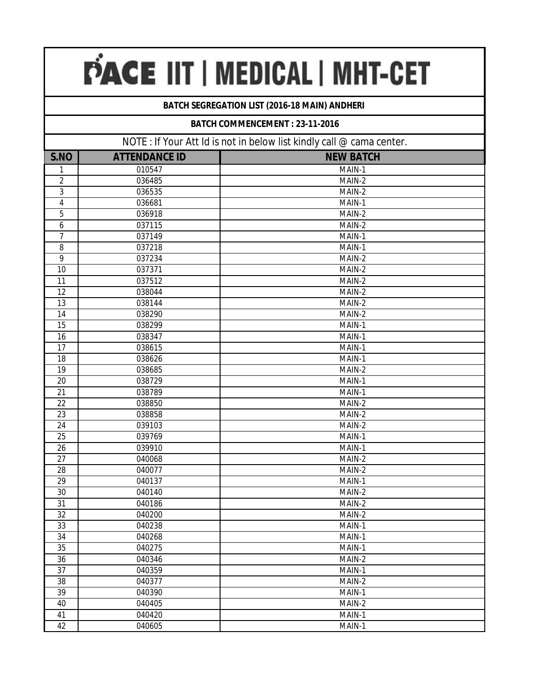# PACE IIT | MEDICAL | MHT-CET

### **BATCH SEGREGATION LIST (2016-18 MAIN) ANDHERI**

#### **BATCH COMMENCEMENT : 23-11-2016**

| NOTE : If Your Att Id is not in below list kindly call @ cama center. |                      |                      |
|-----------------------------------------------------------------------|----------------------|----------------------|
| S.NO                                                                  | <b>ATTENDANCE ID</b> | <b>NEW BATCH</b>     |
| 1                                                                     | 010547               | MAIN-1               |
| $\sqrt{2}$                                                            | 036485               | MAIN-2               |
| 3                                                                     | 036535               | MAIN-2               |
| $\overline{\mathbf{4}}$                                               | 036681               | MAIN-1               |
| 5                                                                     | 036918               | MAIN-2               |
| 6                                                                     | 037115               | MAIN-2               |
| 7                                                                     | 037149               | MAIN-1               |
| 8                                                                     | 037218               | MAIN-1               |
| 9                                                                     | 037234               | MAIN-2               |
| 10                                                                    | 037371               | MAIN-2               |
| 11                                                                    | 037512               | MAIN-2               |
| 12                                                                    | 038044               | MAIN-2               |
| 13                                                                    | 038144               | MAIN-2               |
| 14                                                                    | 038290               | MAIN-2               |
| 15                                                                    | 038299               | MAIN-1               |
| 16                                                                    | 038347               | MAIN-1               |
| 17                                                                    | 038615               | MAIN-1               |
| 18                                                                    | 038626               | MAIN-1               |
| 19                                                                    | 038685               | MAIN-2               |
| 20                                                                    | 038729               | MAIN-1               |
| 21                                                                    | 038789               | MAIN-1               |
| 22                                                                    | 038850               | MAIN-2               |
| 23                                                                    | 038858               | MAIN-2               |
| 24                                                                    | 039103               | MAIN-2               |
| 25                                                                    | 039769               | MAIN-1               |
| 26                                                                    | 039910               | $\overline{M}$ AIN-1 |
| 27                                                                    | 040068               | MAIN-2               |
| 28                                                                    | 040077               | MAIN-2               |
| $\overline{29}$                                                       | 040137               | MAIN-1               |
| 30                                                                    | 040140               | MAIN-2               |
| 31                                                                    | 040186               | MAIN-2               |
| 32                                                                    | 040200               | MAIN-2               |
| 33                                                                    | 040238               | MAIN-1               |
| 34                                                                    | 040268               | MAIN-1               |
| 35                                                                    | 040275               | MAIN-1               |
| 36                                                                    | 040346               | MAIN-2               |
| $\overline{37}$                                                       | 040359               | MAIN-1               |
| 38                                                                    | 040377               | MAIN-2               |
| 39                                                                    | 040390               | MAIN-1               |
| 40                                                                    | 040405               | MAIN-2               |
| 41                                                                    | 040420               | MAIN-1               |
| 42                                                                    | 040605               | MAIN-1               |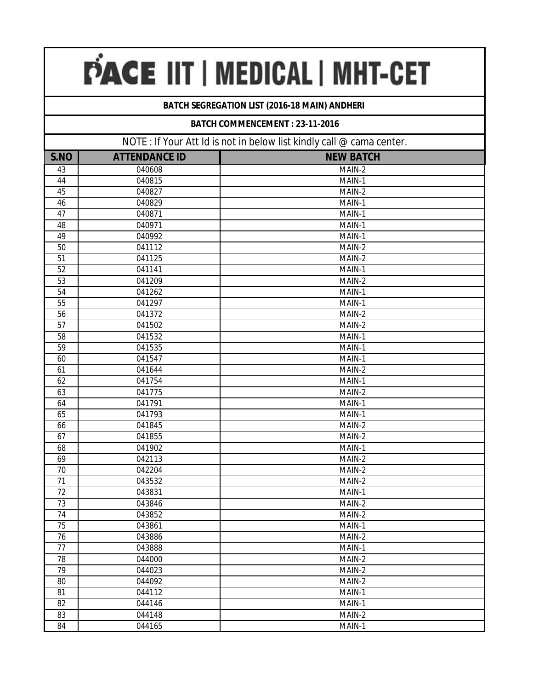# PACE IIT | MEDICAL | MHT-CET

### **BATCH SEGREGATION LIST (2016-18 MAIN) ANDHERI**

#### **BATCH COMMENCEMENT : 23-11-2016**

| NOTE: If Your Att Id is not in below list kindly call @ cama center. |                      |                  |
|----------------------------------------------------------------------|----------------------|------------------|
| S.NO                                                                 | <b>ATTENDANCE ID</b> | <b>NEW BATCH</b> |
| 43                                                                   | 040608               | MAIN-2           |
| 44                                                                   | 040815               | MAIN-1           |
| 45                                                                   | 040827               | MAIN-2           |
| 46                                                                   | 040829               | MAIN-1           |
| 47                                                                   | 040871               | MAIN-1           |
| 48                                                                   | 040971               | MAIN-1           |
| 49                                                                   | 040992               | MAIN-1           |
| 50                                                                   | 041112               | MAIN-2           |
| 51                                                                   | 041125               | MAIN-2           |
| 52                                                                   | 041141               | MAIN-1           |
| 53                                                                   | 041209               | MAIN-2           |
| 54                                                                   | 041262               | MAIN-1           |
| 55                                                                   | 041297               | MAIN-1           |
| 56                                                                   | 041372               | MAIN-2           |
| 57                                                                   | 041502               | MAIN-2           |
| 58                                                                   | 041532               | MAIN-1           |
| 59                                                                   | 041535               | MAIN-1           |
| 60                                                                   | 041547               | MAIN-1           |
| 61                                                                   | 041644               | MAIN-2           |
| 62                                                                   | 041754               | MAIN-1           |
| 63                                                                   | 041775               | MAIN-2           |
| 64                                                                   | 041791               | MAIN-1           |
| 65                                                                   | 041793               | MAIN-1           |
| 66                                                                   | 041845               | MAIN-2           |
| 67                                                                   | 041855               | MAIN-2           |
| 68                                                                   | 041902               | MAIN-1           |
| 69                                                                   | 042113               | MAIN-2           |
| 70                                                                   | 042204               | MAIN-2           |
| 71                                                                   | 043532               | MAIN-2           |
| $\overline{72}$                                                      | 043831               | MAIN-1           |
| 73                                                                   | 043846               | MAIN-2           |
| 74                                                                   | 043852               | MAIN-2           |
| 75                                                                   | 043861               | MAIN-1           |
| 76                                                                   | 043886               | MAIN-2           |
| 77                                                                   | 043888               | MAIN-1           |
| 78                                                                   | 044000               | MAIN-2           |
| 79                                                                   | 044023               | MAIN-2           |
| 80                                                                   | 044092               | MAIN-2           |
| 81                                                                   | 044112               | MAIN-1           |
| 82                                                                   | 044146               | MAIN-1           |
| 83                                                                   | 044148               | MAIN-2           |
| 84                                                                   | 044165               | MAIN-1           |